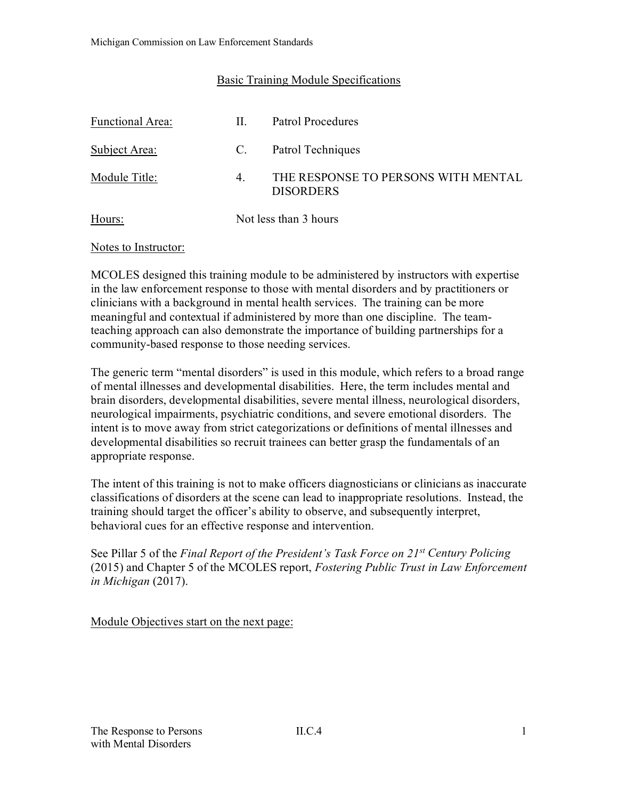### Basic Training Module Specifications

| <b>Functional Area:</b> | Н. | Patrol Procedures                                       |
|-------------------------|----|---------------------------------------------------------|
| Subject Area:           | C. | Patrol Techniques                                       |
| Module Title:           | 4. | THE RESPONSE TO PERSONS WITH MENTAL<br><b>DISORDERS</b> |
| Hours:                  |    | Not less than 3 hours                                   |

#### Notes to Instructor:

MCOLES designed this training module to be administered by instructors with expertise in the law enforcement response to those with mental disorders and by practitioners or clinicians with a background in mental health services. The training can be more meaningful and contextual if administered by more than one discipline. The teamteaching approach can also demonstrate the importance of building partnerships for a community-based response to those needing services.

The generic term "mental disorders" is used in this module, which refers to a broad range of mental illnesses and developmental disabilities. Here, the term includes mental and brain disorders, developmental disabilities, severe mental illness, neurological disorders, neurological impairments, psychiatric conditions, and severe emotional disorders. The intent is to move away from strict categorizations or definitions of mental illnesses and developmental disabilities so recruit trainees can better grasp the fundamentals of an appropriate response.

The intent of this training is not to make officers diagnosticians or clinicians as inaccurate classifications of disorders at the scene can lead to inappropriate resolutions. Instead, the training should target the officer's ability to observe, and subsequently interpret, behavioral cues for an effective response and intervention.

See Pillar 5 of the *Final Report of the President's Task Force on 21st Century Policing* (2015) and Chapter 5 of the MCOLES report, *Fostering Public Trust in Law Enforcement in Michigan* (2017).

Module Objectives start on the next page: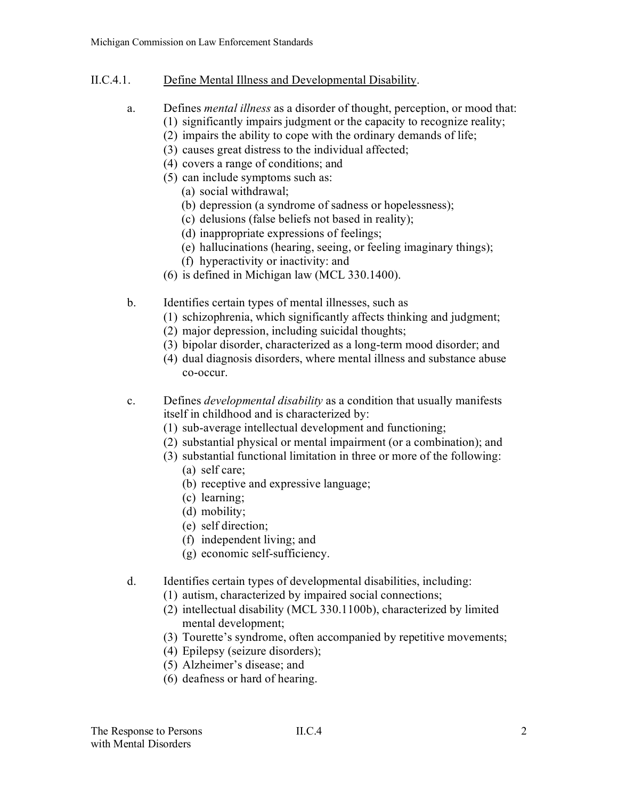- II.C.4.1. Define Mental Illness and Developmental Disability.
	- a. Defines *mental illness* as a disorder of thought, perception, or mood that: (1) significantly impairs judgment or the capacity to recognize reality;
		- (2) impairs the ability to cope with the ordinary demands of life;
		- (3) causes great distress to the individual affected;
		- (4) covers a range of conditions; and
		- (5) can include symptoms such as:
			- (a) social withdrawal;
			- (b) depression (a syndrome of sadness or hopelessness);
			- (c) delusions (false beliefs not based in reality);
			- (d) inappropriate expressions of feelings;
			- (e) hallucinations (hearing, seeing, or feeling imaginary things);
			- (f) hyperactivity or inactivity: and
		- (6) is defined in Michigan law (MCL 330.1400).
	- b. Identifies certain types of mental illnesses, such as
		- (1) schizophrenia, which significantly affects thinking and judgment;
		- (2) major depression, including suicidal thoughts;
		- (3) bipolar disorder, characterized as a long-term mood disorder; and
		- (4) dual diagnosis disorders, where mental illness and substance abuse co-occur.
	- c. Defines *developmental disability* as a condition that usually manifests itself in childhood and is characterized by:
		- (1) sub-average intellectual development and functioning;
		- (2) substantial physical or mental impairment (or a combination); and
		- (3) substantial functional limitation in three or more of the following:
			- (a) self care;
			- (b) receptive and expressive language;
			- (c) learning;
			- (d) mobility;
			- (e) self direction;
			- (f) independent living; and
			- (g) economic self-sufficiency.
	- d. Identifies certain types of developmental disabilities, including:
		- (1) autism, characterized by impaired social connections;
		- (2) intellectual disability (MCL 330.1100b), characterized by limited mental development;
		- (3) Tourette's syndrome, often accompanied by repetitive movements;
		- (4) Epilepsy (seizure disorders);
		- (5) Alzheimer's disease; and
		- (6) deafness or hard of hearing.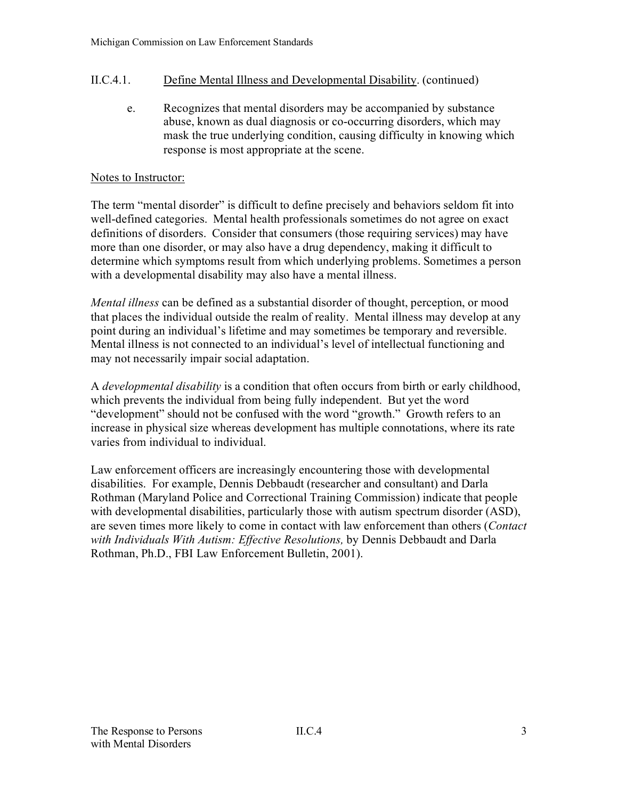## II.C.4.1. Define Mental Illness and Developmental Disability. (continued)

e. Recognizes that mental disorders may be accompanied by substance abuse, known as dual diagnosis or co-occurring disorders, which may mask the true underlying condition, causing difficulty in knowing which response is most appropriate at the scene.

#### Notes to Instructor:

The term "mental disorder" is difficult to define precisely and behaviors seldom fit into well-defined categories. Mental health professionals sometimes do not agree on exact definitions of disorders. Consider that consumers (those requiring services) may have more than one disorder, or may also have a drug dependency, making it difficult to determine which symptoms result from which underlying problems. Sometimes a person with a developmental disability may also have a mental illness.

*Mental illness* can be defined as a substantial disorder of thought, perception, or mood that places the individual outside the realm of reality. Mental illness may develop at any point during an individual's lifetime and may sometimes be temporary and reversible. Mental illness is not connected to an individual's level of intellectual functioning and may not necessarily impair social adaptation.

A *developmental disability* is a condition that often occurs from birth or early childhood, which prevents the individual from being fully independent. But yet the word "development" should not be confused with the word "growth." Growth refers to an increase in physical size whereas development has multiple connotations, where its rate varies from individual to individual.

Law enforcement officers are increasingly encountering those with developmental disabilities. For example, Dennis Debbaudt (researcher and consultant) and Darla Rothman (Maryland Police and Correctional Training Commission) indicate that people with developmental disabilities, particularly those with autism spectrum disorder (ASD), are seven times more likely to come in contact with law enforcement than others (*Contact with Individuals With Autism: Effective Resolutions,* by Dennis Debbaudt and Darla Rothman, Ph.D., FBI Law Enforcement Bulletin, 2001).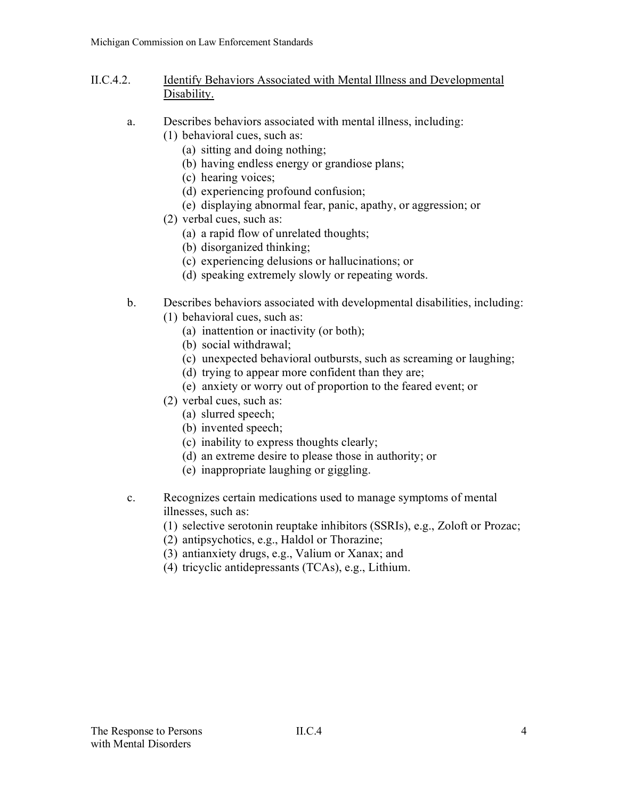- II.C.4.2. Identify Behaviors Associated with Mental Illness and Developmental Disability.
	- a. Describes behaviors associated with mental illness, including:
		- (1) behavioral cues, such as:
			- (a) sitting and doing nothing;
			- (b) having endless energy or grandiose plans;
			- (c) hearing voices;
			- (d) experiencing profound confusion;
			- (e) displaying abnormal fear, panic, apathy, or aggression; or
		- (2) verbal cues, such as:
			- (a) a rapid flow of unrelated thoughts;
			- (b) disorganized thinking;
			- (c) experiencing delusions or hallucinations; or
			- (d) speaking extremely slowly or repeating words.
	- b. Describes behaviors associated with developmental disabilities, including:
		- (1) behavioral cues, such as:
			- (a) inattention or inactivity (or both);
			- (b) social withdrawal;
			- (c) unexpected behavioral outbursts, such as screaming or laughing;
			- (d) trying to appear more confident than they are;
			- (e) anxiety or worry out of proportion to the feared event; or
		- (2) verbal cues, such as:
			- (a) slurred speech;
			- (b) invented speech;
			- (c) inability to express thoughts clearly;
			- (d) an extreme desire to please those in authority; or
			- (e) inappropriate laughing or giggling.
	- c. Recognizes certain medications used to manage symptoms of mental illnesses, such as:
		- (1) selective serotonin reuptake inhibitors (SSRIs), e.g., Zoloft or Prozac;
		- (2) antipsychotics, e.g., Haldol or Thorazine;
		- (3) antianxiety drugs, e.g., Valium or Xanax; and
		- (4) tricyclic antidepressants (TCAs), e.g., Lithium.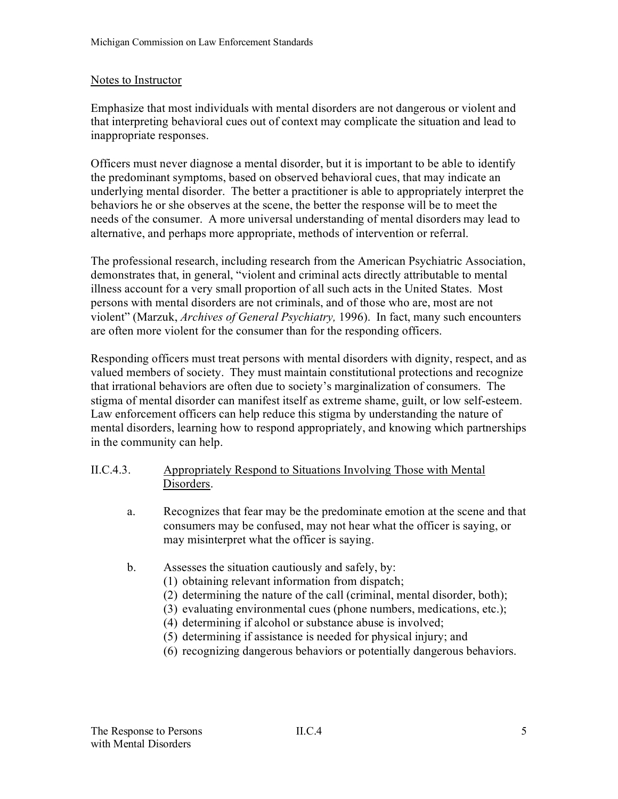### Notes to Instructor

Emphasize that most individuals with mental disorders are not dangerous or violent and that interpreting behavioral cues out of context may complicate the situation and lead to inappropriate responses.

Officers must never diagnose a mental disorder, but it is important to be able to identify the predominant symptoms, based on observed behavioral cues, that may indicate an underlying mental disorder. The better a practitioner is able to appropriately interpret the behaviors he or she observes at the scene, the better the response will be to meet the needs of the consumer. A more universal understanding of mental disorders may lead to alternative, and perhaps more appropriate, methods of intervention or referral.

The professional research, including research from the American Psychiatric Association, demonstrates that, in general, "violent and criminal acts directly attributable to mental illness account for a very small proportion of all such acts in the United States. Most persons with mental disorders are not criminals, and of those who are, most are not violent" (Marzuk, *Archives of General Psychiatry,* 1996). In fact, many such encounters are often more violent for the consumer than for the responding officers.

Responding officers must treat persons with mental disorders with dignity, respect, and as valued members of society. They must maintain constitutional protections and recognize that irrational behaviors are often due to society's marginalization of consumers. The stigma of mental disorder can manifest itself as extreme shame, guilt, or low self-esteem. Law enforcement officers can help reduce this stigma by understanding the nature of mental disorders, learning how to respond appropriately, and knowing which partnerships in the community can help.

### II.C.4.3. Appropriately Respond to Situations Involving Those with Mental Disorders.

- a. Recognizes that fear may be the predominate emotion at the scene and that consumers may be confused, may not hear what the officer is saying, or may misinterpret what the officer is saying.
- b. Assesses the situation cautiously and safely, by:
	- (1) obtaining relevant information from dispatch;
	- (2) determining the nature of the call (criminal, mental disorder, both);
	- (3) evaluating environmental cues (phone numbers, medications, etc.);
	- (4) determining if alcohol or substance abuse is involved;
	- (5) determining if assistance is needed for physical injury; and
	- (6) recognizing dangerous behaviors or potentially dangerous behaviors.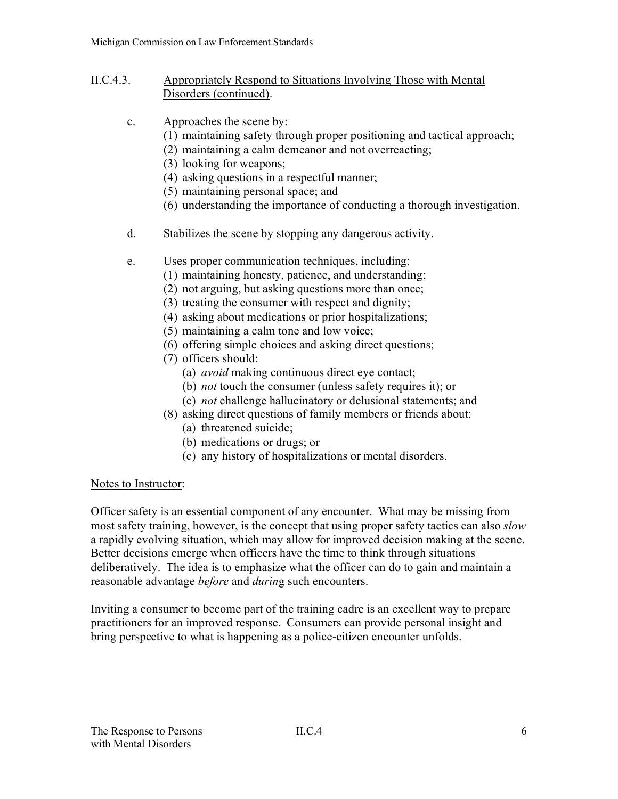- II.C.4.3. Appropriately Respond to Situations Involving Those with Mental Disorders (continued).
	- c. Approaches the scene by:
		- (1) maintaining safety through proper positioning and tactical approach;
		- (2) maintaining a calm demeanor and not overreacting;
		- (3) looking for weapons;
		- (4) asking questions in a respectful manner;
		- (5) maintaining personal space; and
		- (6) understanding the importance of conducting a thorough investigation.
	- d. Stabilizes the scene by stopping any dangerous activity.
	- e. Uses proper communication techniques, including:
		- (1) maintaining honesty, patience, and understanding;
		- (2) not arguing, but asking questions more than once;
		- (3) treating the consumer with respect and dignity;
		- (4) asking about medications or prior hospitalizations;
		- (5) maintaining a calm tone and low voice;
		- (6) offering simple choices and asking direct questions;
		- (7) officers should:
			- (a) *avoid* making continuous direct eye contact;
			- (b) *not* touch the consumer (unless safety requires it); or
			- (c) *not* challenge hallucinatory or delusional statements; and
		- (8) asking direct questions of family members or friends about: (a) threatened suicide;
			- (b) medications or drugs; or
			- (c) any history of hospitalizations or mental disorders.

### Notes to Instructor:

Officer safety is an essential component of any encounter. What may be missing from most safety training, however, is the concept that using proper safety tactics can also *slow* a rapidly evolving situation, which may allow for improved decision making at the scene. Better decisions emerge when officers have the time to think through situations deliberatively. The idea is to emphasize what the officer can do to gain and maintain a reasonable advantage *before* and *durin*g such encounters.

Inviting a consumer to become part of the training cadre is an excellent way to prepare practitioners for an improved response. Consumers can provide personal insight and bring perspective to what is happening as a police-citizen encounter unfolds.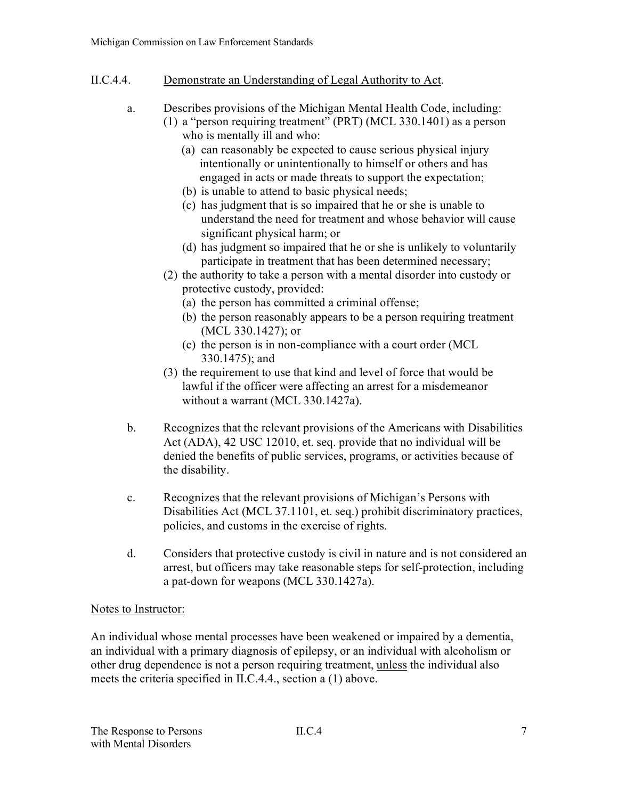- II.C.4.4. Demonstrate an Understanding of Legal Authority to Act.
	- a. Describes provisions of the Michigan Mental Health Code, including: (1) a "person requiring treatment" (PRT) (MCL 330.1401) as a person who is mentally ill and who:
		- (a) can reasonably be expected to cause serious physical injury intentionally or unintentionally to himself or others and has engaged in acts or made threats to support the expectation;
		- (b) is unable to attend to basic physical needs;
		- (c) has judgment that is so impaired that he or she is unable to understand the need for treatment and whose behavior will cause significant physical harm; or
		- (d) has judgment so impaired that he or she is unlikely to voluntarily participate in treatment that has been determined necessary;
		- (2) the authority to take a person with a mental disorder into custody or protective custody, provided:
			- (a) the person has committed a criminal offense;
			- (b) the person reasonably appears to be a person requiring treatment (MCL 330.1427); or
			- (c) the person is in non-compliance with a court order (MCL 330.1475); and
		- (3) the requirement to use that kind and level of force that would be lawful if the officer were affecting an arrest for a misdemeanor without a warrant (MCL 330.1427a).
	- b. Recognizes that the relevant provisions of the Americans with Disabilities Act (ADA), 42 USC 12010, et. seq. provide that no individual will be denied the benefits of public services, programs, or activities because of the disability.
	- c. Recognizes that the relevant provisions of Michigan's Persons with Disabilities Act (MCL 37.1101, et. seq.) prohibit discriminatory practices, policies, and customs in the exercise of rights.
	- d. Considers that protective custody is civil in nature and is not considered an arrest, but officers may take reasonable steps for self-protection, including a pat-down for weapons (MCL 330.1427a).

# Notes to Instructor:

An individual whose mental processes have been weakened or impaired by a dementia, an individual with a primary diagnosis of epilepsy, or an individual with alcoholism or other drug dependence is not a person requiring treatment, unless the individual also meets the criteria specified in II.C.4.4., section a (1) above.